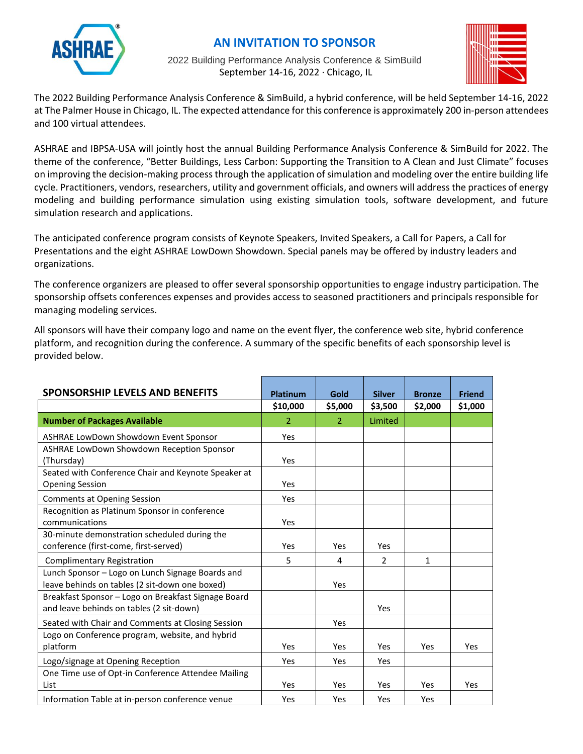

# **AN INVITATION TO SPONSOR**

2022 Building Performance Analysis Conference & SimBuild September 14-16, 2022 ∙ Chicago, IL



The 2022 Building Performance Analysis Conference & SimBuild, a hybrid conference, will be held September 14-16, 2022 at The Palmer House in Chicago, IL. The expected attendance for this conference is approximately 200 in-person attendees and 100 virtual attendees.

ASHRAE and IBPSA-USA will jointly host the annual Building Performance Analysis Conference & SimBuild for 2022. The theme of the conference, "Better Buildings, Less Carbon: Supporting the Transition to A Clean and Just Climate" focuses on improving the decision-making process through the application of simulation and modeling over the entire building life cycle. Practitioners, vendors, researchers, utility and government officials, and owners will address the practices of energy modeling and building performance simulation using existing simulation tools, software development, and future simulation research and applications.

The anticipated conference program consists of Keynote Speakers, Invited Speakers, a Call for Papers, a Call for Presentations and the eight ASHRAE LowDown Showdown. Special panels may be offered by industry leaders and organizations.

The conference organizers are pleased to offer several sponsorship opportunities to engage industry participation. The sponsorship offsets conferences expenses and provides access to seasoned practitioners and principals responsible for managing modeling services.

All sponsors will have their company logo and name on the event flyer, the conference web site, hybrid conference platform, and recognition during the conference. A summary of the specific benefits of each sponsorship level is provided below.

| <b>SPONSORSHIP LEVELS AND BENEFITS</b>                                                          | <b>Platinum</b> | Gold       | <b>Silver</b> | <b>Bronze</b> | <b>Friend</b> |
|-------------------------------------------------------------------------------------------------|-----------------|------------|---------------|---------------|---------------|
|                                                                                                 | \$10,000        | \$5,000    | \$3,500       | \$2,000       | \$1,000       |
| <b>Number of Packages Available</b>                                                             | 2               | 2          | Limited       |               |               |
| ASHRAE LowDown Showdown Event Sponsor                                                           | Yes             |            |               |               |               |
| ASHRAE LowDown Showdown Reception Sponsor                                                       |                 |            |               |               |               |
| (Thursday)                                                                                      | Yes             |            |               |               |               |
| Seated with Conference Chair and Keynote Speaker at<br><b>Opening Session</b>                   | Yes             |            |               |               |               |
| <b>Comments at Opening Session</b>                                                              | Yes             |            |               |               |               |
| Recognition as Platinum Sponsor in conference                                                   |                 |            |               |               |               |
| communications                                                                                  | Yes             |            |               |               |               |
| 30-minute demonstration scheduled during the                                                    |                 |            |               |               |               |
| conference (first-come, first-served)                                                           | Yes             | Yes        | Yes           |               |               |
| <b>Complimentary Registration</b>                                                               | 5               | 4          | $\mathcal{P}$ | $\mathbf{1}$  |               |
| Lunch Sponsor - Logo on Lunch Signage Boards and                                                |                 |            |               |               |               |
| leave behinds on tables (2 sit-down one boxed)                                                  |                 | Yes        |               |               |               |
| Breakfast Sponsor - Logo on Breakfast Signage Board<br>and leave behinds on tables (2 sit-down) |                 |            | Yes           |               |               |
| Seated with Chair and Comments at Closing Session                                               |                 | Yes        |               |               |               |
| Logo on Conference program, website, and hybrid                                                 |                 |            |               |               |               |
| platform                                                                                        | Yes             | <b>Yes</b> | Yes           | Yes           | Yes           |
| Logo/signage at Opening Reception                                                               | <b>Yes</b>      | Yes        | Yes           |               |               |
| One Time use of Opt-in Conference Attendee Mailing                                              |                 |            |               |               |               |
| List                                                                                            | Yes             | Yes        | Yes           | Yes           | Yes           |
| Information Table at in-person conference venue                                                 | Yes             | Yes        | Yes           | Yes           |               |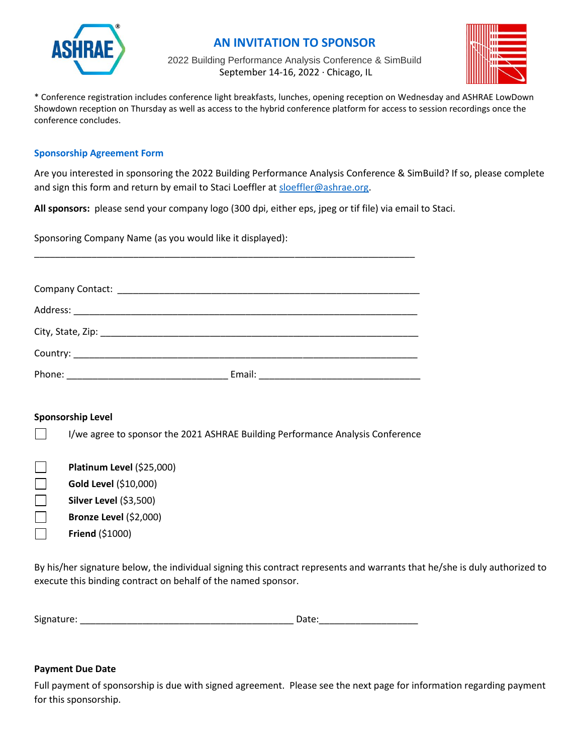

### **AN INVITATION TO SPONSOR**

2022 Building Performance Analysis Conference & SimBuild September 14-16, 2022 ∙ Chicago, IL



\* Conference registration includes conference light breakfasts, lunches, opening reception on Wednesday and ASHRAE LowDown Showdown reception on Thursday as well as access to the hybrid conference platform for access to session recordings once the conference concludes.

#### **Sponsorship Agreement Form**

Are you interested in sponsoring the 2022 Building Performance Analysis Conference & SimBuild? If so, please complete and sign this form and return by email to Staci Loeffler at [sloeffler@ashrae.org.](mailto:sloeffler@ashrae.org)

**All sponsors:** please send your company logo (300 dpi, either eps, jpeg or tif file) via email to Staci.

Sponsoring Company Name (as you would like it displayed):

| Phone: | Email: |  |
|--------|--------|--|

\_\_\_\_\_\_\_\_\_\_\_\_\_\_\_\_\_\_\_\_\_\_\_\_\_\_\_\_\_\_\_\_\_\_\_\_\_\_\_\_\_\_\_\_\_\_\_\_\_\_\_\_\_\_\_\_\_\_\_\_\_\_\_\_\_\_\_\_\_\_\_\_\_

### **Sponsorship Level**

 $\Box$ 

|  | I/we agree to sponsor the 2021 ASHRAE Building Performance Analysis Conference |
|--|--------------------------------------------------------------------------------|
|--|--------------------------------------------------------------------------------|

| $\mathbf{L}$ | Platinum Level (\$25,000)     |
|--------------|-------------------------------|
| $\mathbf{I}$ | Gold Level (\$10,000)         |
| $\mathbf{I}$ | <b>Silver Level (\$3,500)</b> |
| $\mathbf{I}$ | Bronze Level (\$2,000)        |
|              |                               |

**Friend** (\$1000)

By his/her signature below, the individual signing this contract represents and warrants that he/she is duly authorized to execute this binding contract on behalf of the named sponsor.

| Signature: | Date: |
|------------|-------|
|            |       |

### **Payment Due Date**

Full payment of sponsorship is due with signed agreement. Please see the next page for information regarding payment for this sponsorship.